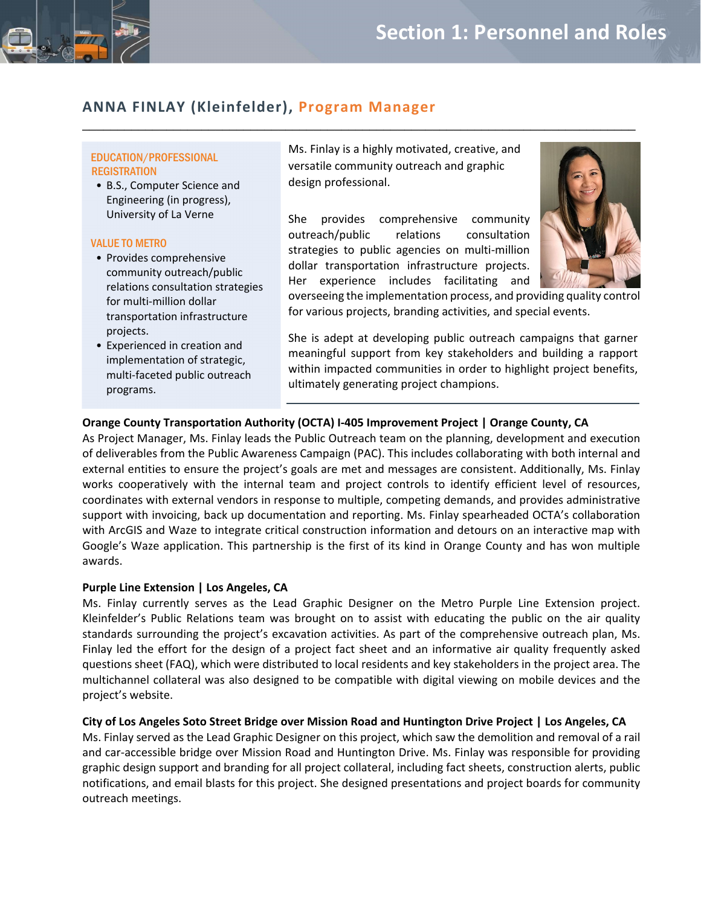

# **ANNA FINLAY (Kleinfelder), Program Manager**

### EDUCATION/PROFESSIONAL **REGISTRATION**

• B.S., Computer Science and Engineering (in progress), University of La Verne

#### VALUE TO METRO

- Provides comprehensive community outreach/public relations consultation strategies for multi‐million dollar transportation infrastructure projects.
- Experienced in creation and implementation of strategic, multi‐faceted public outreach programs.

Ms. Finlay is a highly motivated, creative, and versatile community outreach and graphic design professional.

 $\mathcal{L}_\text{max}$  and  $\mathcal{L}_\text{max}$  and  $\mathcal{L}_\text{max}$  and  $\mathcal{L}_\text{max}$  and  $\mathcal{L}_\text{max}$  and  $\mathcal{L}_\text{max}$ 

She provides comprehensive community outreach/public relations consultation strategies to public agencies on multi-million dollar transportation infrastructure projects. Her experience includes facilitating and



overseeing the implementation process, and providing quality control for various projects, branding activities, and special events.

She is adept at developing public outreach campaigns that garner meaningful support from key stakeholders and building a rapport within impacted communities in order to highlight project benefits, ultimately generating project champions.

## **Orange County Transportation Authority (OCTA) I‐405 Improvement Project | Orange County, CA**

As Project Manager, Ms. Finlay leads the Public Outreach team on the planning, development and execution of deliverables from the Public Awareness Campaign (PAC). This includes collaborating with both internal and external entities to ensure the project's goals are met and messages are consistent. Additionally, Ms. Finlay works cooperatively with the internal team and project controls to identify efficient level of resources, coordinates with external vendors in response to multiple, competing demands, and provides administrative support with invoicing, back up documentation and reporting. Ms. Finlay spearheaded OCTA's collaboration with ArcGIS and Waze to integrate critical construction information and detours on an interactive map with Google's Waze application. This partnership is the first of its kind in Orange County and has won multiple awards.

#### **Purple Line Extension | Los Angeles, CA**

Ms. Finlay currently serves as the Lead Graphic Designer on the Metro Purple Line Extension project. Kleinfelder's Public Relations team was brought on to assist with educating the public on the air quality standards surrounding the project's excavation activities. As part of the comprehensive outreach plan, Ms. Finlay led the effort for the design of a project fact sheet and an informative air quality frequently asked questions sheet (FAQ), which were distributed to local residents and key stakeholders in the project area. The multichannel collateral was also designed to be compatible with digital viewing on mobile devices and the project's website.

#### City of Los Angeles Soto Street Bridge over Mission Road and Huntington Drive Project | Los Angeles, CA

Ms. Finlay served as the Lead Graphic Designer on this project, which saw the demolition and removal of a rail and car-accessible bridge over Mission Road and Huntington Drive. Ms. Finlay was responsible for providing graphic design support and branding for all project collateral, including fact sheets, construction alerts, public notifications, and email blasts for this project. She designed presentations and project boards for community outreach meetings.